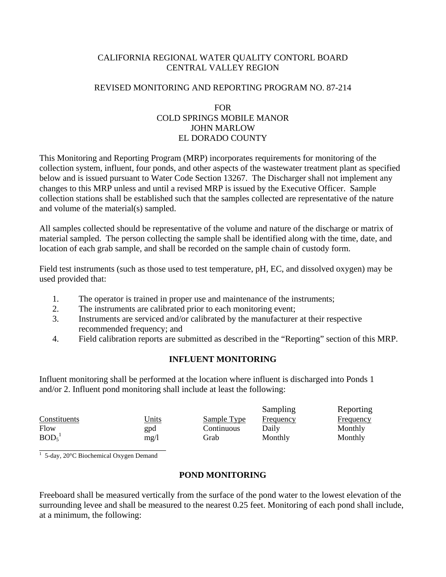# CALIFORNIA REGIONAL WATER QUALITY CONTORL BOARD CENTRAL VALLEY REGION

## REVISED MONITORING AND REPORTING PROGRAM NO. 87-214

## FOR COLD SPRINGS MOBILE MANOR JOHN MARLOW EL DORADO COUNTY

This Monitoring and Reporting Program (MRP) incorporates requirements for monitoring of the collection system, influent, four ponds, and other aspects of the wastewater treatment plant as specified below and is issued pursuant to Water Code Section 13267. The Discharger shall not implement any changes to this MRP unless and until a revised MRP is issued by the Executive Officer. Sample collection stations shall be established such that the samples collected are representative of the nature and volume of the material(s) sampled.

All samples collected should be representative of the volume and nature of the discharge or matrix of material sampled. The person collecting the sample shall be identified along with the time, date, and location of each grab sample, and shall be recorded on the sample chain of custody form.

Field test instruments (such as those used to test temperature, pH, EC, and dissolved oxygen) may be used provided that:

- 1. The operator is trained in proper use and maintenance of the instruments;
- 2. The instruments are calibrated prior to each monitoring event;
- 3. Instruments are serviced and/or calibrated by the manufacturer at their respective recommended frequency; and
- 4. Field calibration reports are submitted as described in the "Reporting" section of this MRP.

# **INFLUENT MONITORING**

Influent monitoring shall be performed at the location where influent is discharged into Ponds 1 and/or 2. Influent pond monitoring shall include at least the following:

|                               |       |             | Sampling         | Reporting        |
|-------------------------------|-------|-------------|------------------|------------------|
| Constituents                  | Units | Sample Type | <b>Frequency</b> | <b>Frequency</b> |
| Flow                          | gpd   | Continuous  | Daily            | Monthly          |
| BOD <sub>5</sub> <sup>1</sup> | mg/1  | Grab        | Monthly          | Monthly          |

1<br>
1 5-day, 20°C Biochemical Oxygen Demand

# **POND MONITORING**

Freeboard shall be measured vertically from the surface of the pond water to the lowest elevation of the surrounding levee and shall be measured to the nearest 0.25 feet. Monitoring of each pond shall include, at a minimum, the following: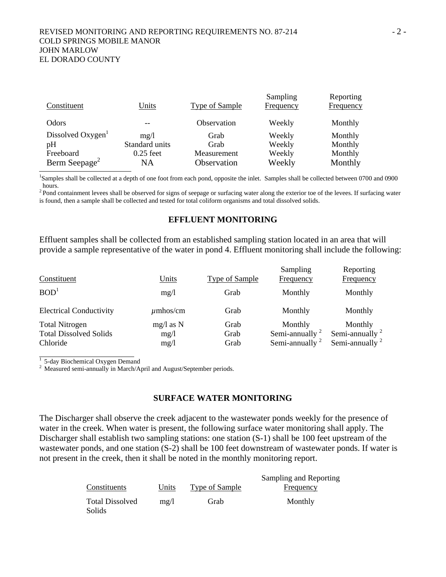### REVISED MONITORING AND REPORTING REQUIREMENTS NO. 87-214 - 2 -COLD SPRINGS MOBILE MANOR JOHN MARLOW EL DORADO COUNTY

| Constituent                   | Units          | <b>Type of Sample</b> | Sampling<br>Frequency | Reporting<br><b>Frequency</b> |
|-------------------------------|----------------|-----------------------|-----------------------|-------------------------------|
| Odors                         |                | Observation           | Weekly                | Monthly                       |
| Dissolved Oxygen <sup>1</sup> | mg/l           | Grab                  | Weekly                | Monthly                       |
| pH                            | Standard units | Grab                  | Weekly                | Monthly                       |
| Freeboard                     | $0.25$ feet    | Measurement           | Weekly                | Monthly                       |
| Berm Seepage <sup>2</sup>     | NΑ             | Observation           | Weekly                | Monthly                       |

1 Samples shall be collected at a depth of one foot from each pond, opposite the inlet. Samples shall be collected between 0700 and 0900 hours.

<sup>2</sup> Pond containment levees shall be observed for signs of seepage or surfacing water along the exterior toe of the levees. If surfacing water is found, then a sample shall be collected and tested for total coliform organisms and total dissolved solids.

### **EFFLUENT MONITORING**

Effluent samples shall be collected from an established sampling station located in an area that will provide a sample representative of the water in pond 4. Effluent monitoring shall include the following:

| Constituent                                                        | <b>Units</b>                | <b>Type of Sample</b> | Sampling<br>Frequency                             | Reporting<br>Frequency                            |
|--------------------------------------------------------------------|-----------------------------|-----------------------|---------------------------------------------------|---------------------------------------------------|
| BOD <sup>1</sup>                                                   | mg/l                        | Grab                  | Monthly                                           | Monthly                                           |
| <b>Electrical Conductivity</b>                                     | $\mu$ mhos/cm               | Grab                  | Monthly                                           | Monthly                                           |
| <b>Total Nitrogen</b><br><b>Total Dissolved Solids</b><br>Chloride | $mg/l$ as N<br>mg/1<br>mg/1 | Grab<br>Grab<br>Grab  | Monthly<br>Semi-annually $2$<br>Semi-annually $2$ | Monthly<br>Semi-annually $2$<br>Semi-annually $2$ |

 $\frac{1}{1}$  5-day Biochemical Oxygen Demand

<sup>2</sup> Measured semi-annually in March/April and August/September periods.

### **SURFACE WATER MONITORING**

The Discharger shall observe the creek adjacent to the wastewater ponds weekly for the presence of water in the creek. When water is present, the following surface water monitoring shall apply. The Discharger shall establish two sampling stations: one station  $(S-1)$  shall be 100 feet upstream of the wastewater ponds, and one station (S-2) shall be 100 feet downstream of wastewater ponds. If water is not present in the creek, then it shall be noted in the monthly monitoring report.

|                                         |           |                | Sampling and Reporting |
|-----------------------------------------|-----------|----------------|------------------------|
| Constituents                            | Units     | Type of Sample | <b>Frequency</b>       |
| <b>Total Dissolved</b><br><b>Solids</b> | $m\Omega$ | Grab           | Monthly                |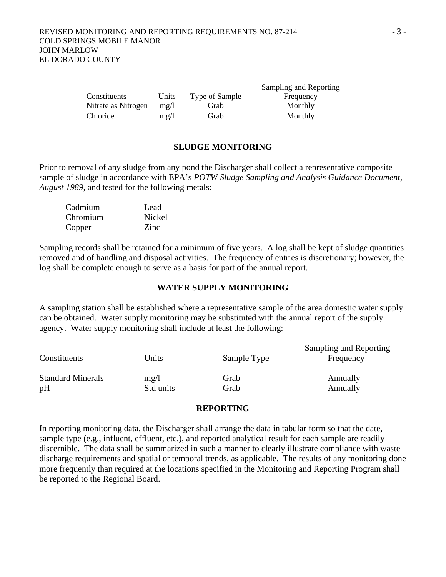|                     |           |                | Sampling and Reporting |
|---------------------|-----------|----------------|------------------------|
| Constituents        | Units     | Type of Sample | Frequency              |
| Nitrate as Nitrogen | $m\Omega$ | Grab           | Monthly                |
| Chloride            | mg/l      | Grab           | Monthly                |

#### **SLUDGE MONITORING**

Prior to removal of any sludge from any pond the Discharger shall collect a representative composite sample of sludge in accordance with EPA's *POTW Sludge Sampling and Analysis Guidance Document*, *August 1989*, and tested for the following metals:

| Cadmium  | Lead        |
|----------|-------------|
| Chromium | Nickel      |
| Copper   | <b>Zinc</b> |

Sampling records shall be retained for a minimum of five years. A log shall be kept of sludge quantities removed and of handling and disposal activities. The frequency of entries is discretionary; however, the log shall be complete enough to serve as a basis for part of the annual report.

### **WATER SUPPLY MONITORING**

A sampling station shall be established where a representative sample of the area domestic water supply can be obtained. Water supply monitoring may be substituted with the annual report of the supply agency. Water supply monitoring shall include at least the following:

| Constituents             | Units     | Sample Type | Sampling and Reporting<br>Frequency |
|--------------------------|-----------|-------------|-------------------------------------|
| <b>Standard Minerals</b> | mg/l      | Grab        | Annually                            |
| pH                       | Std units | Grab        | Annually                            |

### **REPORTING**

In reporting monitoring data, the Discharger shall arrange the data in tabular form so that the date, sample type (e.g., influent, effluent, etc.), and reported analytical result for each sample are readily discernible. The data shall be summarized in such a manner to clearly illustrate compliance with waste discharge requirements and spatial or temporal trends, as applicable. The results of any monitoring done more frequently than required at the locations specified in the Monitoring and Reporting Program shall be reported to the Regional Board.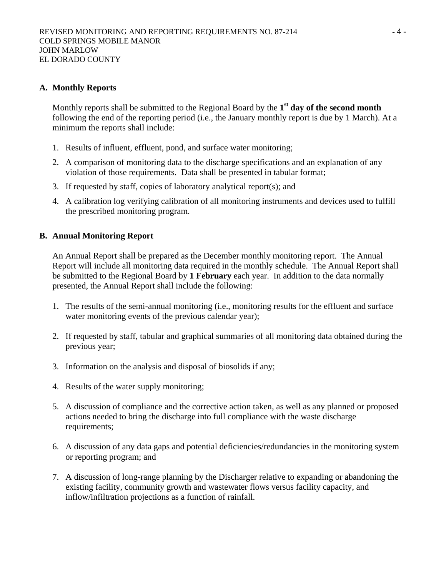## **A. Monthly Reports**

Monthly reports shall be submitted to the Regional Board by the **1st day of the second month** following the end of the reporting period (i.e., the January monthly report is due by 1 March). At a minimum the reports shall include:

- 1. Results of influent, effluent, pond, and surface water monitoring;
- 2. A comparison of monitoring data to the discharge specifications and an explanation of any violation of those requirements. Data shall be presented in tabular format;
- 3. If requested by staff, copies of laboratory analytical report(s); and
- 4. A calibration log verifying calibration of all monitoring instruments and devices used to fulfill the prescribed monitoring program.

## **B. Annual Monitoring Report**

An Annual Report shall be prepared as the December monthly monitoring report. The Annual Report will include all monitoring data required in the monthly schedule. The Annual Report shall be submitted to the Regional Board by **1 February** each year. In addition to the data normally presented, the Annual Report shall include the following:

- 1. The results of the semi-annual monitoring (i.e., monitoring results for the effluent and surface water monitoring events of the previous calendar year);
- 2. If requested by staff, tabular and graphical summaries of all monitoring data obtained during the previous year;
- 3. Information on the analysis and disposal of biosolids if any;
- 4. Results of the water supply monitoring;
- 5. A discussion of compliance and the corrective action taken, as well as any planned or proposed actions needed to bring the discharge into full compliance with the waste discharge requirements;
- 6. A discussion of any data gaps and potential deficiencies/redundancies in the monitoring system or reporting program; and
- 7. A discussion of long-range planning by the Discharger relative to expanding or abandoning the existing facility, community growth and wastewater flows versus facility capacity, and inflow/infiltration projections as a function of rainfall.